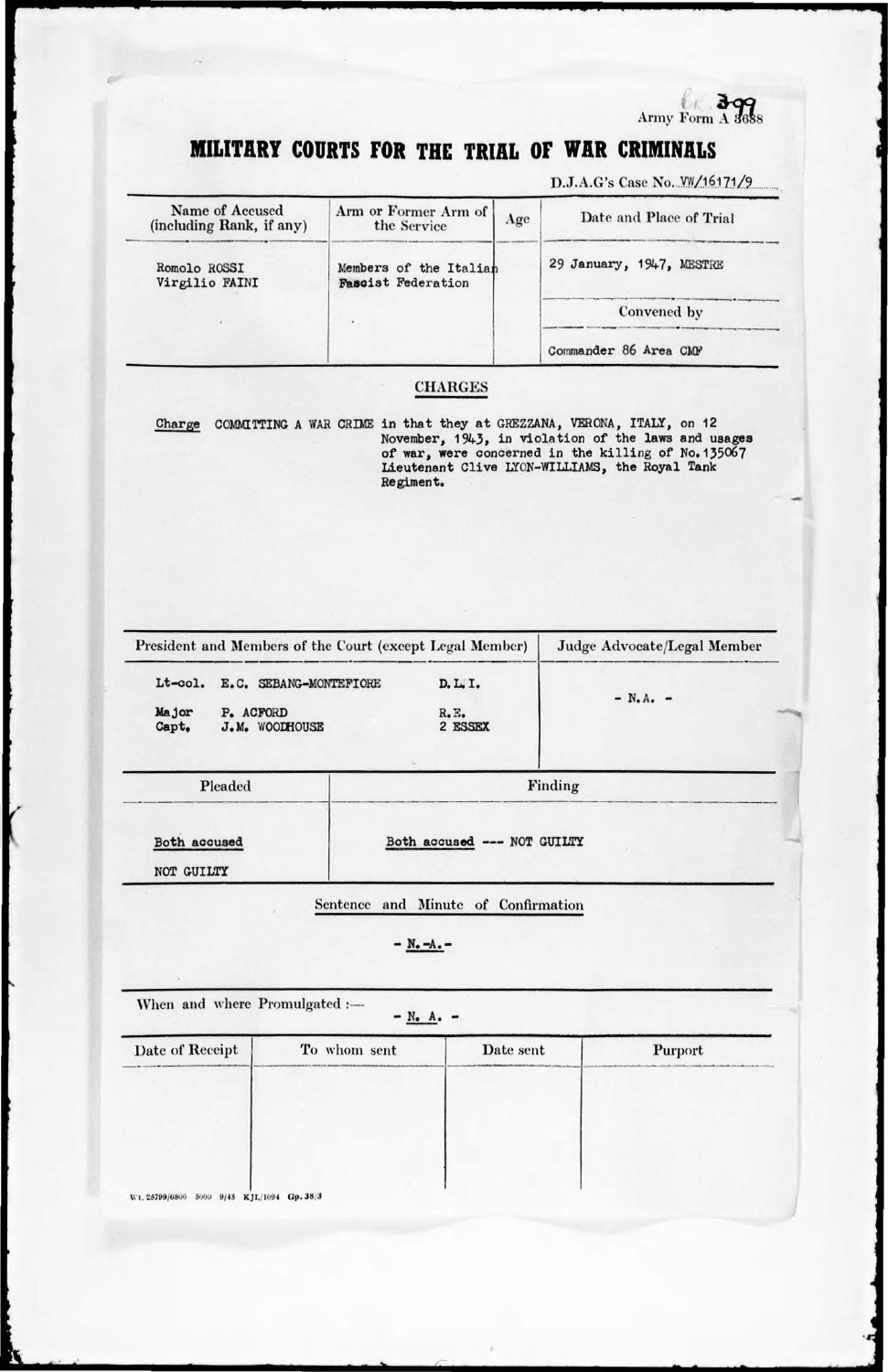Army Form A 3688

## MILITARY COURTS FOR THE TRIAL OF WAR CRIMINALS

D.J.A.G's Case No. W/16171/9

| Name of Accused<br>(including Rank, if any)                                     | Arm or Former Arm of<br>the Service                                                | Age       | Date and Place of Trial                                                                                                                                      |
|---------------------------------------------------------------------------------|------------------------------------------------------------------------------------|-----------|--------------------------------------------------------------------------------------------------------------------------------------------------------------|
| Romolo ROSSI<br>Virgilio FAINI                                                  | Members of the Italian<br><b>Fascist Federation</b>                                |           | 29 January, 1947, MESTRE                                                                                                                                     |
|                                                                                 |                                                                                    |           | Convened by                                                                                                                                                  |
|                                                                                 |                                                                                    |           | Commander 86 Area CMF                                                                                                                                        |
|                                                                                 | <b>CHARGES</b>                                                                     |           |                                                                                                                                                              |
| Charge                                                                          | COMMITTING A WAR CRIME in that they at GREZZANA, VERONA, ITALY, on 12<br>Regiment. |           | November, 1943, in violation of the laws and usages<br>of war, were concerned in the killing of No. 135067<br>Lieutenant Clive LYON-WILLIAMS, the Royal Tank |
|                                                                                 |                                                                                    |           |                                                                                                                                                              |
|                                                                                 | President and Members of the Court (except Legal Member)                           |           | Judge Advocate/Legal Member                                                                                                                                  |
|                                                                                 |                                                                                    |           |                                                                                                                                                              |
| Lt-col. E.C. SEBANG-MONTEFIORE<br>Major<br>P. ACFORD<br>Capt.<br>J.M. WOODHOUSE | D. L. I.<br>$R$ . E.<br>2 ESSEX                                                    |           | $- N.A. -$                                                                                                                                                   |
| Pleaded                                                                         |                                                                                    |           | Finding                                                                                                                                                      |
| Both accused                                                                    | Both accused --- NOT GUILTY                                                        |           |                                                                                                                                                              |
| NOT GUILTY                                                                      |                                                                                    |           |                                                                                                                                                              |
|                                                                                 | and Minute of Confirmation<br><b>Sentence</b>                                      |           |                                                                                                                                                              |
|                                                                                 | $- N - A - -$                                                                      |           |                                                                                                                                                              |
| When and where Promulgated :-                                                   | $- N_0 A_0 -$                                                                      |           |                                                                                                                                                              |
| Date of Receipt                                                                 | To whom sent                                                                       | Date sent | Purport                                                                                                                                                      |
|                                                                                 |                                                                                    |           |                                                                                                                                                              |
|                                                                                 |                                                                                    |           |                                                                                                                                                              |
|                                                                                 |                                                                                    |           |                                                                                                                                                              |